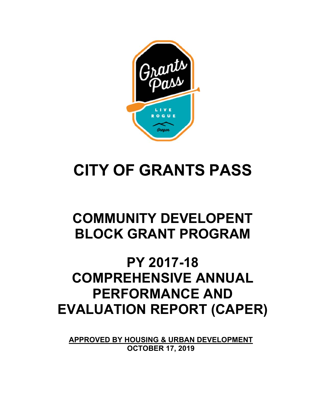

# **CITY OF GRANTS PASS**

# **COMMUNITY DEVELOPENT BLOCK GRANT PROGRAM**

# **PY 2017-18 COMPREHENSIVE ANNUAL PERFORMANCE AND EVALUATION REPORT (CAPER)**

**APPROVED BY HOUSING & URBAN DEVELOPMENT OCTOBER 17, 2019**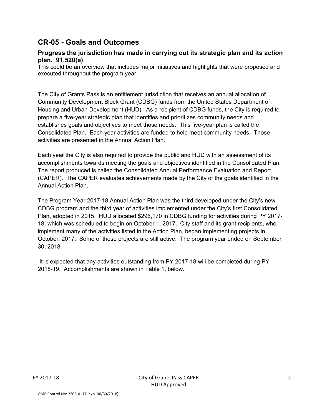## **CR-05 - Goals and Outcomes**

#### **Progress the jurisdiction has made in carrying out its strategic plan and its action plan. 91.520(a)**

This could be an overview that includes major initiatives and highlights that were proposed and executed throughout the program year.

The City of Grants Pass is an entitlement jurisdiction that receives an annual allocation of Community Development Block Grant (CDBG) funds from the United States Department of Housing and Urban Development (HUD). As a recipient of CDBG funds, the City is required to prepare a five-year strategic plan that identifies and prioritizes community needs and establishes goals and objectives to meet those needs. This five-year plan is called the Consolidated Plan. Each year activities are funded to help meet community needs. Those activities are presented in the Annual Action Plan.

Each year the City is also required to provide the public and HUD with an assessment of its accomplishments towards meeting the goals and objectives identified in the Consolidated Plan. The report produced is called the Consolidated Annual Performance Evaluation and Report (CAPER). The CAPER evaluates achievements made by the City of the goals identified in the Annual Action Plan.

The Program Year 2017-18 Annual Action Plan was the third developed under the City's new CDBG program and the third year of activities implemented under the City's first Consolidated Plan, adopted in 2015. HUD allocated \$296,170 in CDBG funding for activities during PY 2017- 18, which was scheduled to begin on October 1, 2017. City staff and its grant recipients, who implement many of the activities listed in the Action Plan, began implementing projects in October, 2017. Some of those projects are still active. The program year ended on September 30, 2018.

 It is expected that any activities outstanding from PY 2017-18 will be completed during PY 2018-19. Accomplishments are shown in Table 1, below.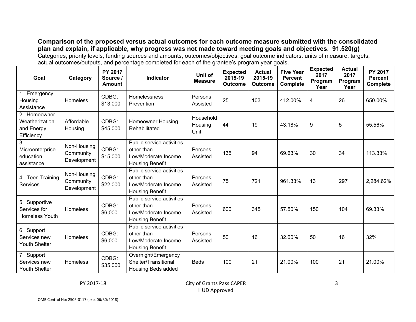**Comparison of the proposed versus actual outcomes for each outcome measure submitted with the consolidated plan and explain, if applicable, why progress was not made toward meeting goals and objectives. 91.520(g)**  Categories, priority levels, funding sources and amounts, outcomes/objectives, goal outcome indicators, units of measure, targets, actual outcomes/outputs, and percentage completed for each of the grantee's program year goals.

| Goal                                                       | Category                                | <b>PY 2017</b><br>Source /<br><b>Amount</b> | <b>Indicator</b>                                                                         | Unit of<br><b>Measure</b>    | <b>Expected</b><br>2015-19<br><b>Outcome</b> | <b>Actual</b><br>2015-19<br>Outcome | <b>Five Year</b><br><b>Percent</b><br><b>Complete</b> | <b>Expected</b><br>2017<br>Program<br>Year | <b>Actual</b><br>2017<br>Program<br>Year | PY 2017<br><b>Percent</b><br>Complete |
|------------------------------------------------------------|-----------------------------------------|---------------------------------------------|------------------------------------------------------------------------------------------|------------------------------|----------------------------------------------|-------------------------------------|-------------------------------------------------------|--------------------------------------------|------------------------------------------|---------------------------------------|
| 1. Emergency<br>Housing<br>Assistance                      | <b>Homeless</b>                         | CDBG:<br>\$13,000                           | Homelessness<br>Prevention                                                               | Persons<br>Assisted          | 25                                           | 103                                 | 412.00%                                               | 4                                          | 26                                       | 650.00%                               |
| 2. Homeowner<br>Weatherization<br>and Energy<br>Efficiency | Affordable<br>Housing                   | CDBG:<br>\$45,000                           | <b>Homeowner Housing</b><br>Rehabilitated                                                | Household<br>Housing<br>Unit | 44                                           | 19                                  | 43.18%                                                | 9                                          | 5                                        | 55.56%                                |
| 3.<br>Microenterprise<br>education<br>assistance           | Non-Housing<br>Community<br>Development | CDBG:<br>\$15,000                           | Public service activities<br>other than<br>Low/Moderate Income<br><b>Housing Benefit</b> | Persons<br>Assisted          | 135                                          | 94                                  | 69.63%                                                | 30                                         | 34                                       | 113.33%                               |
| 4. Teen Training<br>Services                               | Non-Housing<br>Community<br>Development | CDBG:<br>\$22,000                           | Public service activities<br>other than<br>Low/Moderate Income<br><b>Housing Benefit</b> | Persons<br>Assisted          | 75                                           | 721                                 | 961.33%                                               | 13                                         | 297                                      | 2,284.62%                             |
| 5. Supportive<br>Services for<br><b>Homeless Youth</b>     | <b>Homeless</b>                         | CDBG:<br>\$6,000                            | Public service activities<br>other than<br>Low/Moderate Income<br><b>Housing Benefit</b> | Persons<br>Assisted          | 600                                          | 345                                 | 57.50%                                                | 150                                        | 104                                      | 69.33%                                |
| 6. Support<br>Services new<br>Youth Shelter                | Homeless                                | CDBG:<br>\$6,000                            | Public service activities<br>other than<br>Low/Moderate Income<br><b>Housing Benefit</b> | Persons<br>Assisted          | 50                                           | 16                                  | 32.00%                                                | 50                                         | 16                                       | 32%                                   |
| 7. Support<br>Services new<br><b>Youth Shelter</b>         | <b>Homeless</b>                         | CDBG:<br>\$35,000                           | Overnight/Emergency<br>Shelter/Transitional<br>Housing Beds added                        | <b>Beds</b>                  | 100                                          | 21                                  | 21.00%                                                | 100                                        | 21                                       | 21.00%                                |

PY 2017-18 City of Grants Pass CAPER HUD Approved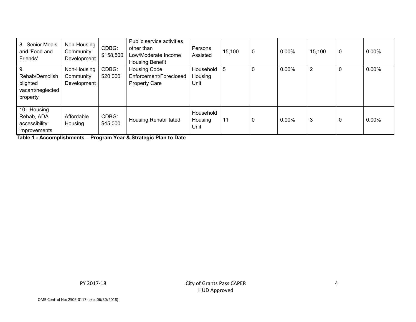| 8. Senior Meals<br>and 'Food and<br>Friends'                      | Non-Housing<br>Community<br>Development | CDBG:<br>\$158,500 | Public service activities<br>other than<br>Low/Moderate Income<br><b>Housing Benefit</b> | Persons<br>Assisted          | 15,100 | $\overline{0}$ | 0.00%    | 15,100         | $\mathbf 0$ | 0.00% |
|-------------------------------------------------------------------|-----------------------------------------|--------------------|------------------------------------------------------------------------------------------|------------------------------|--------|----------------|----------|----------------|-------------|-------|
| 9.<br>Rehab/Demolish<br>blighted<br>vacant/neglected<br>property  | Non-Housing<br>Community<br>Development | CDBG:<br>\$20,000  | <b>Housing Code</b><br>Enforcement/Foreclosed<br><b>Property Care</b>                    | Household<br>Housing<br>Unit | 5      | $\Omega$       | 0.00%    | $\overline{2}$ | 0           | 0.00% |
| 10. Housing<br>Rehab, ADA<br>accessibility<br><i>improvements</i> | Affordable<br>Housing                   | CDBG:<br>\$45,000  | Housing Rehabilitated                                                                    | Household<br>Housing<br>Unit | 11     | $\mathbf 0$    | $0.00\%$ | 3              | 0           | 0.00% |

**Table 1 - Accomplishments – Program Year & Strategic Plan to Date**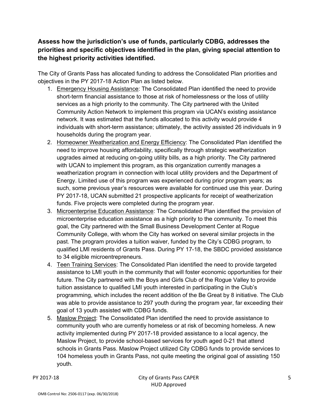**Assess how the jurisdiction's use of funds, particularly CDBG, addresses the priorities and specific objectives identified in the plan, giving special attention to the highest priority activities identified.** 

The City of Grants Pass has allocated funding to address the Consolidated Plan priorities and objectives in the PY 2017-18 Action Plan as listed below.

- 1. Emergency Housing Assistance: The Consolidated Plan identified the need to provide short-term financial assistance to those at risk of homelessness or the loss of utility services as a high priority to the community. The City partnered with the United Community Action Network to implement this program via UCAN's existing assistance network. It was estimated that the funds allocated to this activity would provide 4 individuals with short-term assistance; ultimately, the activity assisted 26 individuals in 9 households during the program year.
- 2. Homeowner Weatherization and Energy Efficiency: The Consolidated Plan identified the need to improve housing affordability, specifically through strategic weatherization upgrades aimed at reducing on-going utility bills, as a high priority. The City partnered with UCAN to implement this program, as this organization currently manages a weatherization program in connection with local utility providers and the Department of Energy. Limited use of this program was experienced during prior program years; as such, some previous year's resources were available for continued use this year. During PY 2017-18, UCAN submitted 21 prospective applicants for receipt of weatherization funds. Five projects were completed during the program year.
- 3. Microenterprise Education Assistance: The Consolidated Plan identified the provision of microenterprise education assistance as a high priority to the community. To meet this goal, the City partnered with the Small Business Development Center at Rogue Community College, with whom the City has worked on several similar projects in the past. The program provides a tuition waiver, funded by the City's CDBG program, to qualified LMI residents of Grants Pass. During PY 17-18, the SBDC provided assistance to 34 eligible microentrepreneurs.
- 4. Teen Training Services: The Consolidated Plan identified the need to provide targeted assistance to LMI youth in the community that will foster economic opportunities for their future. The City partnered with the Boys and Girls Club of the Rogue Valley to provide tuition assistance to qualified LMI youth interested in participating in the Club's programming, which includes the recent addition of the Be Great by 8 initiative. The Club was able to provide assistance to 297 youth during the program year, far exceeding their goal of 13 youth assisted with CDBG funds.
- 5. Maslow Project: The Consolidated Plan identified the need to provide assistance to community youth who are currently homeless or at risk of becoming homeless. A new activity implemented during PY 2017-18 provided assistance to a local agency, the Maslow Project, to provide school-based services for youth aged 0-21 that attend schools in Grants Pass. Maslow Project utilized City CDBG funds to provide services to 104 homeless youth in Grants Pass, not quite meeting the original goal of assisting 150 youth.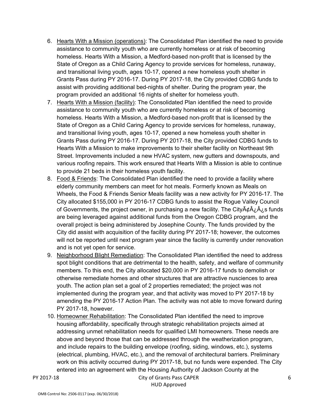- 6. Hearts With a Mission (operations): The Consolidated Plan identified the need to provide assistance to community youth who are currently homeless or at risk of becoming homeless. Hearts With a Mission, a Medford-based non-profit that is licensed by the State of Oregon as a Child Caring Agency to provide services for homeless, runaway, and transitional living youth, ages 10-17, opened a new homeless youth shelter in Grants Pass during PY 2016-17. During PY 2017-18, the City provided CDBG funds to assist with providing additional bed-nights of shelter. During the program year, the program provided an additional 16 nights of shelter for homeless youth.
- 7. Hearts With a Mission (facility): The Consolidated Plan identified the need to provide assistance to community youth who are currently homeless or at risk of becoming homeless. Hearts With a Mission, a Medford-based non-profit that is licensed by the State of Oregon as a Child Caring Agency to provide services for homeless, runaway, and transitional living youth, ages 10-17, opened a new homeless youth shelter in Grants Pass during PY 2016-17. During PY 2017-18, the City provided CDBG funds to Hearts With a Mission to make improvements to their shelter facility on Northeast 9th Street. Improvements included a new HVAC system, new gutters and downspouts, and various roofing repairs. This work ensured that Hearts With a Mission is able to continue to provide 21 beds in their homeless youth facility.
- 8. Food & Friends: The Consolidated Plan identified the need to provide a facility where elderly community members can meet for hot meals. Formerly known as Meals on Wheels, the Food & Friends Senior Meals facility was a new activity for PY 2016-17. The City allocated \$155,000 in PY 2016-17 CDBG funds to assist the Rogue Valley Council of Governments, the project owner, in purchasing a new facility. The City $\tilde{A}\ell\hat{A}$ ,  $\tilde{A}$ , s funds are being leveraged against additional funds from the Oregon CDBG program, and the overall project is being administered by Josephine County. The funds provided by the City did assist with acquisition of the facility during PY 2017-18; however, the outcomes will not be reported until next program year since the facility is currently under renovation and is not yet open for service.
- 9. Neighborhood Blight Remediation: The Consolidated Plan identified the need to address spot blight conditions that are detrimental to the health, safety, and welfare of community members. To this end, the City allocated \$20,000 in PY 2016-17 funds to demolish or otherwise remediate homes and other structures that are attractive nusciences to area youth. The action plan set a goal of 2 properties remediated; the project was not implemented during the program year, and that activity was moved to PY 2017-18 by amending the PY 2016-17 Action Plan. The activity was not able to move forward during PY 2017-18, however.
- 10. Homeowner Rehabilitation: The Consolidated Plan identified the need to improve housing affordability, specifically through strategic rehabilitation projects aimed at addressing unmet rehabilitation needs for qualified LMI homeowners. These needs are above and beyond those that can be addressed through the weatherization program, and include repairs to the building envelope (roofing, siding, windows, etc.), systems (electrical, plumbing, HVAC, etc.), and the removal of architectural barriers. Preliminary work on this activity occurred during PY 2017-18, but no funds were expended. The City entered into an agreement with the Housing Authority of Jackson County at the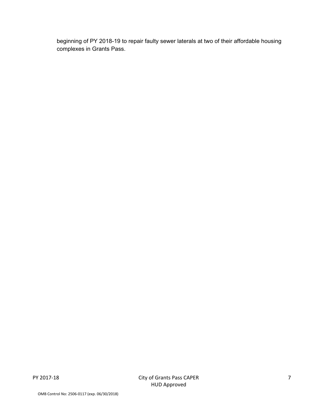beginning of PY 2018-19 to repair faulty sewer laterals at two of their affordable housing complexes in Grants Pass.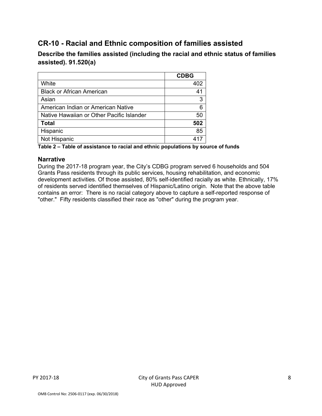## **CR-10 - Racial and Ethnic composition of families assisted**

**Describe the families assisted (including the racial and ethnic status of families assisted). 91.520(a)** 

|                                           | <b>CDBG</b> |
|-------------------------------------------|-------------|
| White                                     | 402         |
| <b>Black or African American</b>          | 41          |
| Asian                                     | 3           |
| American Indian or American Native        | 6           |
| Native Hawaiian or Other Pacific Islander | 50          |
| <b>Total</b>                              | 502         |
| Hispanic                                  | 85          |
| Not Hispanic                              | 417         |

**Table 2 – Table of assistance to racial and ethnic populations by source of funds** 

#### **Narrative**

During the 2017-18 program year, the City's CDBG program served 6 households and 504 Grants Pass residents through its public services, housing rehabilitation, and economic development activities. Of those assisted, 80% self-identified racially as white. Ethnically, 17% of residents served identified themselves of Hispanic/Latino origin. Note that the above table contains an error: There is no racial category above to capture a self-reported response of "other." Fifty residents classified their race as "other" during the program year.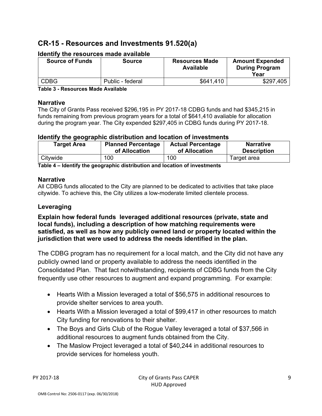## **CR-15 - Resources and Investments 91.520(a)**

| <b>Source of Funds</b> | <b>Source</b>    | <b>Resources Made</b><br><b>Available</b> | <b>Amount Expended</b><br><b>During Program</b><br>Year |
|------------------------|------------------|-------------------------------------------|---------------------------------------------------------|
| <b>CDBG</b>            | Public - federal | \$641,410                                 | \$297,405                                               |

#### **Identify the resources made available**

**Table 3 - Resources Made Available** 

#### **Narrative**

The City of Grants Pass received \$296,195 in PY 2017-18 CDBG funds and had \$345,215 in funds remaining from previous program years for a total of \$641,410 avaliable for allocation during the program year. The City expended \$297,405 in CDBG funds during PY 2017-18.

#### **Identify the geographic distribution and location of investments**

| <b>Target Area</b> | <b>Planned Percentage</b> | <b>Actual Percentage</b> | <b>Narrative</b>   |
|--------------------|---------------------------|--------------------------|--------------------|
|                    | of Allocation             | of Allocation            | <b>Description</b> |
| Citywide           | 100                       | 100                      | Target area        |

**Table 4 – Identify the geographic distribution and location of investments** 

#### **Narrative**

All CDBG funds allocated to the City are planned to be dedicated to activities that take place citywide. To achieve this, the City utilizes a low-moderate limited clientele process.

#### **Leveraging**

**Explain how federal funds leveraged additional resources (private, state and local funds), including a description of how matching requirements were satisfied, as well as how any publicly owned land or property located within the jurisdiction that were used to address the needs identified in the plan.** 

The CDBG program has no requirement for a local match, and the City did not have any publicly owned land or property available to address the needs identified in the Consolidated Plan. That fact notwithstanding, recipients of CDBG funds from the City frequently use other resources to augment and expand programming. For example:

- Hearts With a Mission leveraged a total of \$56,575 in additional resources to provide shelter services to area youth.
- Hearts With a Mission leveraged a total of \$99,417 in other resources to match City funding for renovations to their shelter.
- The Boys and Girls Club of the Rogue Valley leveraged a total of \$37,566 in additional resources to augment funds obtained from the City.
- The Maslow Project leveraged a total of \$40,244 in additional resources to provide services for homeless youth.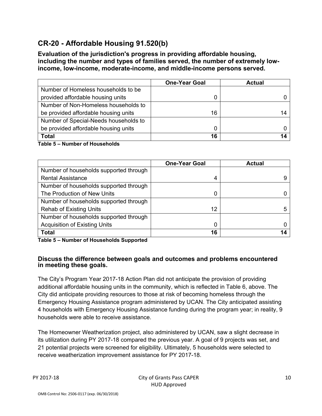## **CR-20 - Affordable Housing 91.520(b)**

**Evaluation of the jurisdiction's progress in providing affordable housing, including the number and types of families served, the number of extremely lowincome, low-income, moderate-income, and middle-income persons served.** 

|                                       | <b>One-Year Goal</b> | <b>Actual</b> |
|---------------------------------------|----------------------|---------------|
| Number of Homeless households to be   |                      |               |
| provided affordable housing units     | 0                    |               |
| Number of Non-Homeless households to  |                      |               |
| be provided affordable housing units  | 16                   |               |
| Number of Special-Needs households to |                      |               |
| be provided affordable housing units  |                      |               |
| <b>Total</b>                          | 16                   |               |

#### **Table 5 – Number of Households**

|                                        | <b>One-Year Goal</b> | <b>Actual</b> |
|----------------------------------------|----------------------|---------------|
| Number of households supported through |                      |               |
| <b>Rental Assistance</b>               | 4                    |               |
| Number of households supported through |                      |               |
| The Production of New Units            | 0                    |               |
| Number of households supported through |                      |               |
| <b>Rehab of Existing Units</b>         | 12                   |               |
| Number of households supported through |                      |               |
| <b>Acquisition of Existing Units</b>   | 0                    |               |
| <b>Total</b>                           | 16                   | 14            |

**Table 5 – Number of Households Supported** 

#### **Discuss the difference between goals and outcomes and problems encountered in meeting these goals.**

The City's Program Year 2017-18 Action Plan did not anticipate the provision of providing additional affordable housing units in the community, which is reflected in Table 6, above. The City did anticipate providing resources to those at risk of becoming homeless through the Emergency Housing Assistance program administered by UCAN. The City anticipated assisting 4 households with Emergency Housing Assistance funding during the program year; in reality, 9 households were able to receive assistance.

The Homeowner Weatherization project, also administered by UCAN, saw a slight decrease in its utilization during PY 2017-18 compared the previous year. A goal of 9 projects was set, and 21 potential projects were screened for eligibility. Ultimately, 5 households were selected to receive weatherization improvement assistance for PY 2017-18.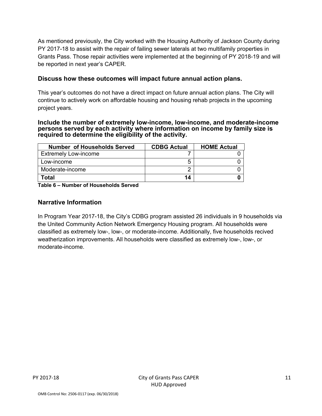As mentioned previously, the City worked with the Housing Authority of Jackson County during PY 2017-18 to assist with the repair of failing sewer laterals at two multifamily properties in Grants Pass. Those repair activities were implemented at the beginning of PY 2018-19 and will be reported in next year's CAPER.

#### **Discuss how these outcomes will impact future annual action plans.**

This year's outcomes do not have a direct impact on future annual action plans. The City will continue to actively work on affordable housing and housing rehab projects in the upcoming project years.

#### **Include the number of extremely low-income, low-income, and moderate-income persons served by each activity where information on income by family size is required to determine the eligibility of the activity.**

| <b>Number of Households Served</b> | <b>CDBG Actual</b> | <b>HOME Actual</b> |
|------------------------------------|--------------------|--------------------|
| <b>Extremely Low-income</b>        |                    |                    |
| Low-income                         |                    |                    |
| Moderate-income                    |                    |                    |
| Total                              | 14                 |                    |

**Table 6 – Number of Households Served** 

#### **Narrative Information**

In Program Year 2017-18, the City's CDBG program assisted 26 individuals in 9 households via the United Community Action Network Emergency Housing program. All households were classified as extremely low-, low-, or moderate-income. Additionally, five households recived weatherization improvements. All households were classified as extremely low-, low-, or moderate-income.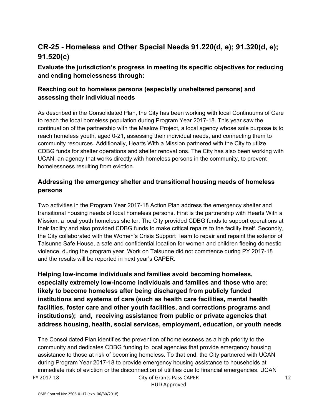## **CR-25 - Homeless and Other Special Needs 91.220(d, e); 91.320(d, e); 91.520(c)**

## **Evaluate the jurisdiction's progress in meeting its specific objectives for reducing and ending homelessness through:**

#### **Reaching out to homeless persons (especially unsheltered persons) and assessing their individual needs**

As described in the Consolidated Plan, the City has been working with local Continuums of Care to reach the local homeless population during Program Year 2017-18. This year saw the continuation of the partnership with the Maslow Project, a local agency whose sole purpose is to reach homeless youth, aged 0-21, assessing their individual needs, and connecting them to community resources. Additionally, Hearts With a Mission partnered with the City to utlize CDBG funds for shelter operations and shelter renovations. The City has also been working with UCAN, an agency that works directly with homeless persons in the community, to prevent homelessness resulting from eviction.

#### **Addressing the emergency shelter and transitional housing needs of homeless persons**

Two activities in the Program Year 2017-18 Action Plan address the emergency shelter and transitional housing needs of local homeless persons. First is the partnership with Hearts With a Mission, a local youth homeless shelter. The City provided CDBG funds to support operations at their facility and also provided CDBG funds to make critical repairs to the facility itself. Secondly, the City collaborated with the Women's Crisis Support Team to repair and repaint the exterior of Talsunne Safe House, a safe and confidential location for women and children fleeing domestic violence, during the program year. Work on Talsunne did not commence during PY 2017-18 and the results will be reported in next year's CAPER.

**Helping low-income individuals and families avoid becoming homeless, especially extremely low-income individuals and families and those who are: likely to become homeless after being discharged from publicly funded institutions and systems of care (such as health care facilities, mental health facilities, foster care and other youth facilities, and corrections programs and institutions); and, receiving assistance from public or private agencies that address housing, health, social services, employment, education, or youth needs** 

PY 2017-18 City of Grants Pass CAPER The Consolidated Plan identifies the prevention of homelessness as a high priority to the community and dedicates CDBG funding to local agencies that provide emergency housing assistance to those at risk of becoming homeless. To that end, the City partnered with UCAN during Program Year 2017-18 to provide emergency housing assistance to households at immediate risk of eviction or the disconnection of utilities due to financial emergencies. UCAN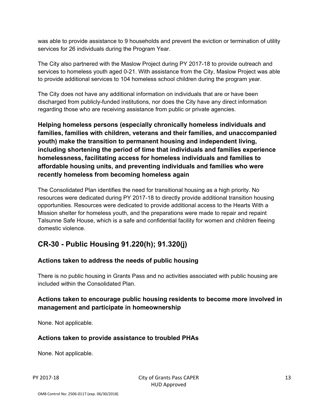was able to provide assistance to 9 households and prevent the eviction or termination of utility services for 26 individuals during the Program Year.

The City also partnered with the Maslow Project during PY 2017-18 to provide outreach and services to homeless youth aged 0-21. With assistance from the City, Maslow Project was able to provide additional services to 104 homeless school children during the program year.

The City does not have any additional information on individuals that are or have been discharged from publicly-funded institutions, nor does the City have any direct information regarding those who are receiving assistance from public or private agencies.

**Helping homeless persons (especially chronically homeless individuals and families, families with children, veterans and their families, and unaccompanied youth) make the transition to permanent housing and independent living, including shortening the period of time that individuals and families experience homelessness, facilitating access for homeless individuals and families to affordable housing units, and preventing individuals and families who were recently homeless from becoming homeless again** 

The Consolidated Plan identifies the need for transitional housing as a high priority. No resources were dedicated during PY 2017-18 to directly provide additional transition housing opportunities. Resources were dedicated to provide additional access to the Hearts With a Mission shelter for homeless youth, and the preparations were made to repair and repaint Talsunne Safe House, which is a safe and confidential facility for women and children fleeing domestic violence.

## **CR-30 - Public Housing 91.220(h); 91.320(j)**

#### **Actions taken to address the needs of public housing**

There is no public housing in Grants Pass and no activities associated with public housing are included within the Consolidated Plan.

## **Actions taken to encourage public housing residents to become more involved in management and participate in homeownership**

None. Not applicable.

#### **Actions taken to provide assistance to troubled PHAs**

None. Not applicable.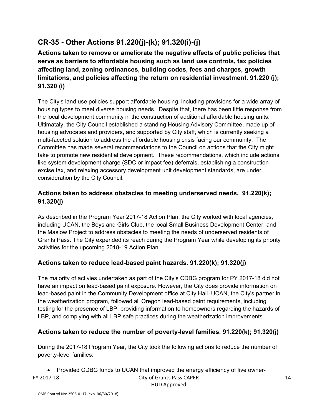# **CR-35 - Other Actions 91.220(j)-(k); 91.320(i)-(j)**

**Actions taken to remove or ameliorate the negative effects of public policies that serve as barriers to affordable housing such as land use controls, tax policies affecting land, zoning ordinances, building codes, fees and charges, growth limitations, and policies affecting the return on residential investment. 91.220 (j); 91.320 (i)** 

The City's land use policies support affordable housing, including provisions for a wide array of housing types to meet diverse housing needs. Despite that, there has been little response from the local development community in the construction of additional affordable housing units. Ultimataly, the City Council established a standing Housing Advisory Committee, made up of housing advocates and providers, and supported by City staff, which is currently seeking a multi-faceted solution to address the affordable housing crisis facing our community. The Committee has made several recommendations to the Council on actions that the City might take to promote new residential development. These recommendations, which include actions like system development charge (SDC or impact fee) deferrals, establishing a construction excise tax, and relaxing accessory development unit development standards, are under consideration by the City Council.

#### **Actions taken to address obstacles to meeting underserved needs. 91.220(k); 91.320(j)**

As described in the Program Year 2017-18 Action Plan, the City worked with local agencies, including UCAN, the Boys and Girls Club, the local Small Business Development Center, and the Maslow Project to address obstacles to meeting the needs of underserved residents of Grants Pass. The City expended its reach during the Program Year while developing its priority activities for the upcoming 2018-19 Action Plan.

#### **Actions taken to reduce lead-based paint hazards. 91.220(k); 91.320(j)**

The majority of activies undertaken as part of the City's CDBG program for PY 2017-18 did not have an impact on lead-based paint exposure. However, the City does provide information on lead-based paint in the Community Development office at City Hall. UCAN, the City's partner in the weatherization program, followed all Oregon lead-based paint requirements, including testing for the presence of LBP, providing information to homeowners regarding the hazards of LBP, and complying with all LBP safe practices during the weatherization improvements.

#### **Actions taken to reduce the number of poverty-level families. 91.220(k); 91.320(j)**

During the 2017-18 Program Year, the City took the following actions to reduce the number of poverty-level families:

PY 2017-18 City of Grants Pass CAPER HUD Approved • Provided CDBG funds to UCAN that improved the energy efficiency of five owner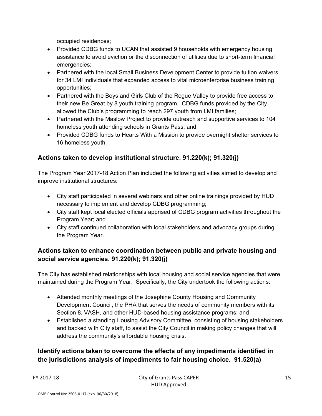occupied residences;

- Provided CDBG funds to UCAN that assisted 9 households with emergency housing assistance to avoid eviction or the disconnection of utilities due to short-term financial emergencies;
- Partnered with the local Small Business Development Center to provide tuition waivers for 34 LMI individuals that expanded access to vital microenterprise business training opportunities;
- Partnered with the Boys and Girls Club of the Roque Valley to provide free access to their new Be Great by 8 youth training program. CDBG funds provided by the City allowed the Club's programming to reach 297 youth from LMI families;
- Partnered with the Maslow Project to provide outreach and supportive services to 104 homeless youth attending schools in Grants Pass; and
- Provided CDBG funds to Hearts With a Mission to provide overnight shelter services to 16 homeless youth.

#### **Actions taken to develop institutional structure. 91.220(k); 91.320(j)**

The Program Year 2017-18 Action Plan included the following activities aimed to develop and improve institutional structures:

- City staff participated in several webinars and other online trainings provided by HUD necessary to implement and develop CDBG programming;
- City staff kept local elected officials apprised of CDBG program activities throughout the Program Year; and
- City staff continued collaboration with local stakeholders and advocacy groups during the Program Year.

## **Actions taken to enhance coordination between public and private housing and social service agencies. 91.220(k); 91.320(j)**

The City has established relationships with local housing and social service agencies that were maintained during the Program Year. Specifically, the City undertook the following actions:

- Attended monthly meetings of the Josephine County Housing and Community Development Council, the PHA that serves the needs of community members with its Section 8, VASH, and other HUD-based housing assistance programs; and
- Established a standing Housing Advisory Committee, consisting of housing stakeholders and backed with City staff, to assist the City Council in making policy changes that will address the community's affordable housing crisis.

## **Identify actions taken to overcome the effects of any impediments identified in the jurisdictions analysis of impediments to fair housing choice. 91.520(a)**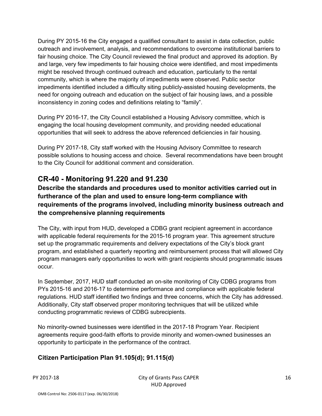During PY 2015-16 the City engaged a qualified consultant to assist in data collection, public outreach and involvement, analysis, and recommendations to overcome institutional barriers to fair housing choice. The City Council reviewed the final product and approved its adoption. By and large, very few impediments to fair housing choice were identified, and most impediments might be resolved through continued outreach and education, particularly to the rental community, which is where the majority of impediments were observed. Public sector impediments identified included a difficulty siting publicly-assisted housing developments, the need for ongoing outreach and education on the subject of fair housing laws, and a possible inconsistency in zoning codes and definitions relating to "family".

During PY 2016-17, the City Council established a Housing Advisory committee, which is engaging the local housing development community, and providing needed educational opportunities that will seek to address the above referenced deficiencies in fair housing.

During PY 2017-18, City staff worked with the Housing Advisory Committee to research possible solutions to housing access and choice. Several recommendations have been brought to the City Council for additional comment and consideration.

## **CR-40 - Monitoring 91.220 and 91.230**

**Describe the standards and procedures used to monitor activities carried out in furtherance of the plan and used to ensure long-term compliance with requirements of the programs involved, including minority business outreach and the comprehensive planning requirements** 

The City, with input from HUD, developed a CDBG grant recipient agreement in accordance with applicable federal requirements for the 2015-16 program year. This agreement structure set up the programmatic requirements and delivery expectations of the City's block grant program, and established a quarterly reporting and reimbursement process that will allowed City program managers early opportunities to work with grant recipients should programmatic issues occur.

In September, 2017, HUD staff conducted an on-site monitoring of City CDBG programs from PYs 2015-16 and 2016-17 to determine performance and compliance with applicable federal regulations. HUD staff identified two findings and three concerns, which the City has addressed. Additionally, City staff observed proper monitoring techniques that will be utilized while conducting programmatic reviews of CDBG subrecipients.

No minority-owned businesses were identified in the 2017-18 Program Year. Recipient agreements require good-faith efforts to provide minority and women-owned businesses an opportunity to participate in the performance of the contract.

## **Citizen Participation Plan 91.105(d); 91.115(d)**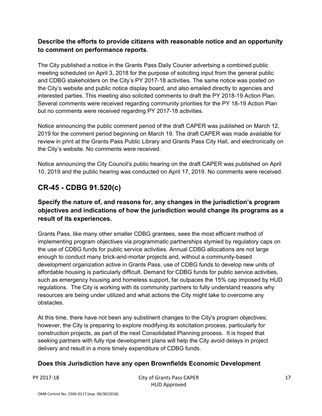#### **Describe the efforts to provide citizens with reasonable notice and an opportunity to comment on performance reports**.

The City published a notice in the Grants Pass Daily Courier advertsing a combined public meeting scheduled on April 3, 2018 for the purpose of soliciting input from the general public and CDBG stakeholders on the City's PY 2017-18 activities. The same notice was posted on the City's website and public notice display board, and also emailed directly to agencies and interested parties. This meeting also solicited comments to draft the PY 2018-19 Action Plan. Several comments were received regarding community priorities for the PY 18-19 Action Plan but no comments were received regarding PY 2017-18 activities.

Notice announcing the public comment period of the draft CAPER was published on March 12, 2019 for the comment period beginning on March 19. The draft CAPER was made available for review in print at the Grants Pass Public Library and Grants Pass City Hall, and electronically on the City's website. No comments were received.

Notice announcing the City Council's public hearing on the draft CAPER was published on April 10, 2019 and the public hearing was conducted on April 17, 2019. No comments were received.

## **CR-45 - CDBG 91.520(c)**

#### **Specify the nature of, and reasons for, any changes in the jurisdiction's program objectives and indications of how the jurisdiction would change its programs as a result of its experiences.**

Grants Pass, like many other smaller CDBG grantees, sees the most efficient method of implementing program objectives via programmatic partnerships stymied by regulatory caps on the use of CDBG funds for public service activities. Annual CDBG allocations are not large enough to conduct many brick-and-mortar projects and, without a community-based development organization active in Grants Pass, use of CDBG funds to develop new units of affordable housing is particularly difficult. Demand for CDBG funds for public service activities, such as emergency housing and homeless support, far outpaces the 15% cap imposed by HUD regulations. The City is working with its community partners to fully understand reasons why resources are being under utilized and what actions the City might take to overcome any obstacles.

At this time, there have not been any substinent changes to the City's program objectives; however, the City is preparing to explore modifying its solicitation process, particularly for construction projects, as part of the next Consolidated Planning process. It is hoped that seeking partners with fully ripe development plans will help the City avoid delays in project delivery and result in a more timely expenditure of CDBG funds.

#### **Does this Jurisdiction have any open Brownfields Economic Development**

PY 2017-18 City of Grants Pass CAPER HUD Approved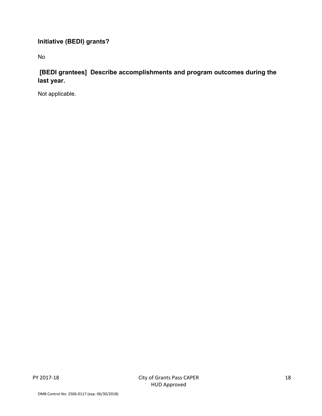## **Initiative (BEDI) grants?**

No

## **[BEDI grantees] Describe accomplishments and program outcomes during the last year.**

Not applicable.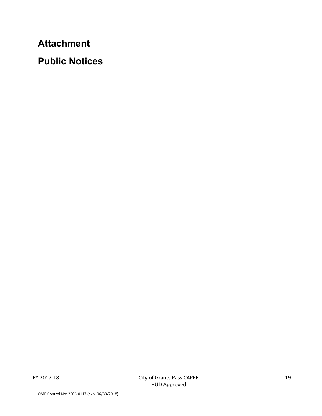**Attachment**

**Public Notices**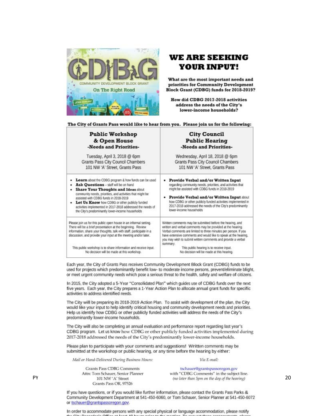

## WE ARE SEEKING YOUR INPUT!

What are the most important needs and priorities for Community Development Block Grant (CDBG) funds for 2018-2019?

How did CDBG 2017-2018 activities address the needs of the City's lower-income households?

The City of Grants Pass would like to hear from you. Please join us for the following:

| <b>Public Workshop</b>                                                                                                                                                                                                                                                                                                                                                                                                         | <b>City Council</b>                                                                                                                                                                                                                                                                                                                                     |  |  |
|--------------------------------------------------------------------------------------------------------------------------------------------------------------------------------------------------------------------------------------------------------------------------------------------------------------------------------------------------------------------------------------------------------------------------------|---------------------------------------------------------------------------------------------------------------------------------------------------------------------------------------------------------------------------------------------------------------------------------------------------------------------------------------------------------|--|--|
| & Open House                                                                                                                                                                                                                                                                                                                                                                                                                   | <b>Public Hearing</b>                                                                                                                                                                                                                                                                                                                                   |  |  |
| -Needs and Priorities-                                                                                                                                                                                                                                                                                                                                                                                                         | -Needs and Priorities-                                                                                                                                                                                                                                                                                                                                  |  |  |
| Tuesday, April 3, 2018 @ 6pm                                                                                                                                                                                                                                                                                                                                                                                                   | Wednesday, April 18, 2018 @ 6pm                                                                                                                                                                                                                                                                                                                         |  |  |
| Grants Pass City Council Chambers                                                                                                                                                                                                                                                                                                                                                                                              | Grants Pass City Council Chambers                                                                                                                                                                                                                                                                                                                       |  |  |
| 101 NW 'A' Street. Grants Pass                                                                                                                                                                                                                                                                                                                                                                                                 | 101 NW 'A' Street, Grants Pass                                                                                                                                                                                                                                                                                                                          |  |  |
| Learn about the CDBG program & how funds can be used<br>Ask Ouestions - staff will be on hand<br>٠<br><b>Share Your Thoughts and Ideas about</b><br>٠<br>community needs, priorities, and activities that might be<br>assisted with CDBG funds in 2018-2019<br>Let Us Know how CDBG or other publicly funded<br>activities implemented in 2017-2018 addressed the needs of<br>the City's predominantly lower-income households | Provide Verbal and/or Written Input<br>regarding community needs, priorities, and activities that<br>might be assisted with CDBG funds in 2018-2019<br>Provide Verbal and/or Written Input about<br>how CDBG or other publicly funded activities implemented in<br>2017-2018 addressed the needs of the City's predominantly<br>lower-income households |  |  |
| Please join us for this public open house in an informal setting.<br>There will be a brief presentation at the beginning. Review<br>information, share your thoughts, talk with staff, participate in a<br>discussion, and provide your input at the meeting and/or later.                                                                                                                                                     | Written comments may be submitted before the hearing, and<br>written and verbal comments may be provided at the hearing.<br>Verbal comments are limited to three minutes per person. If you<br>have extensive comments and would like to speak at the hearing,<br>you may wish to submit written comments and provide a verbal<br>summary.              |  |  |
| This public workshop is to share information and receive input.                                                                                                                                                                                                                                                                                                                                                                | This public hearing is to receive input.                                                                                                                                                                                                                                                                                                                |  |  |
| No decision will be made at this workshop.                                                                                                                                                                                                                                                                                                                                                                                     | No decision will be made at this hearing.                                                                                                                                                                                                                                                                                                               |  |  |

Each year, the City of Grants Pass receives Community Development Block Grant (CDBG) funds to be used for projects which predominantly benefit low- to moderate income persons, prevent/eliminate blight, or meet urgent community needs which pose a serious threat to the health, safety and welfare of citizens.

In 2015, the City adopted a 5-Year "Consolidated Plan" which guides use of CDBG funds over the next five years. Each year, the City prepares a 1-Year Action Plan to allocate annual grant funds for specific activities to address identified needs.

The City will be preparing its 2018-2019 Action Plan. To assist with development of the plan, the City would like your input to help identify critical housing and community development needs and priorities. Help us identify how CDBG or other publicly funded activities will address the needs of the City's predominantly lower-income households.

The City will also be completing an annual evaluation and performance report regarding last year's CDBG program. Let us know how CDBG or other publicly funded activities implemented during 2017-2018 addressed the needs of the City's predominantly lower-income households.

Please plan to participate with your comments and suggestions! Written comments may be submitted at the workshop or public hearing, or any time before the hearing by either:

Mail or Hand-Delivered During Business Hours:

#### Via E-mail:

Grants Pass CDBG Comments Grants Pass OR, 97526

tschauer@grantspassoregon.gov Attn: Tom Schauer, Senior Planner With "CDBG Comments" in the subject line.<br>PY 2011 NW 'A' Street (no later than 5pm on the day of the hearing)

> If you have questions, or if you would like further information, please contact the Grants Pass Parks &<br>Community Development Department at 541-450-6060, or Tom Schauer, Senior Planner at 541-450-6072 or tschauer@grantspassoregon.gov.

In order to accommodate persons with any special physical or language accommodation, please notify

20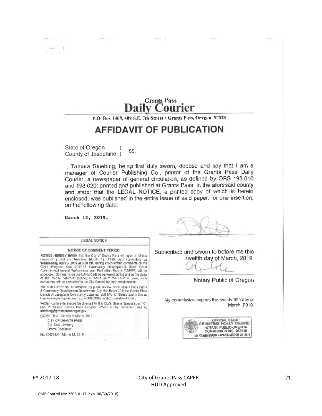## **Grants Pass Daily Courier**

P.O. Box 1468, 409 S.E. 7th Street . Grants Pass, Oregon 97528

# **AFFIDAVIT OF PUBLICATION**

State of Oregon SS. County of Josephine )

I, Tamara Stuebing, being first duly sworn, depose and say that I am a manager of Courier Publishing Co., printer of the Grants Pass Daily Courier, a newspaper of general circulation, as defined by ORS 193.010 and 193.020; printed and published at Grants Pass, in the aforesaid county and state; that the LEGAL NOTICE, a printed copy of which is herein enclosed, was published in the entire issue of said paper, for one insertion, on the following date:

March 12, 2019.

 $\Delta$ 

| LEGAL NOTICE                                                                                                                                                                                                                                                                                               |       |
|------------------------------------------------------------------------------------------------------------------------------------------------------------------------------------------------------------------------------------------------------------------------------------------------------------|-------|
| NOTICE OF COMMENT PERIOD<br>NOTICE HEREBY BIVEN that the City of Grants Pass will open a 15-day                                                                                                                                                                                                            | Subse |
| comment period on Tuesday, March 19, 2019, and concuding on<br>Wednesday, April 3, 2019 at 5:00 PM, during which written comments on the<br>City's Program Year 2017-18 Community Development Block Grant                                                                                                  |       |
| Consmitated Annual Performance and Evaluation Report (GAPER) will be<br>accepted. Commants on the CAPER will be reviewed auring and at the closs.<br>of the 15-day converent period, at which point the CAPER laking with<br>comments, will be presented to the City Council for their consideration.      |       |
| The draft CAPER will be available for public review in the Grapts Pags Parks.<br>& Comman ty Devolopment Dopartment, City Hall Reom 201; the Grants Pass.<br>branch of Josephine Community Joraries, 200 NW 10" Street, and ordine at<br>http://www.granispasscregon.gr.v/B8B/CBBG-and-Consolidated-Plant. | M     |
| Willen comments should be directed to the City's Grants Specialist at 101.<br>NA! 'A' Street, Grants Pass Oregon 97526, or by electronic mail at<br>alindberg@grantspasscragon.govi                                                                                                                        |       |
| DATED THIS: Ptholey of Marich, 2019.<br>CITY OF GRANTS PASS.<br>Dy: Scotl Lindberg<br>Grants Specialist                                                                                                                                                                                                    |       |

cribed and sworn to before me this twelfth day of March, 2019.

Notary Public of Oregon

y commission expires the twenty fifth day of March, 2019.



#### PY 2017-18 City of Grants Pass CAPER HUD Approved